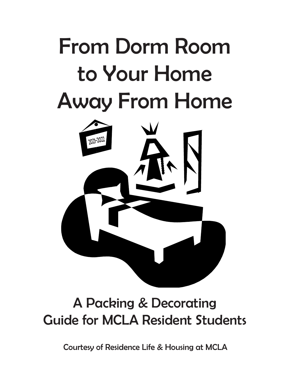## From Dorm Room to Your Home Away From Home



## A Packing & Decorating Guide for MCLA Resident Students

Courtesy of Residence Life & Housing at MCLA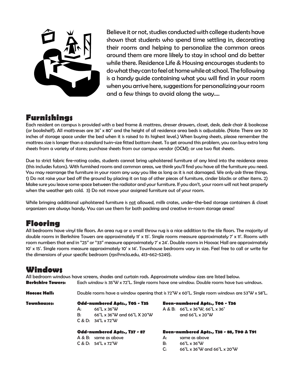

Believe it or not, studies conducted with college students have shown that students who spend time settling in, decorating their rooms and helping to personalize the common areas around them are more likely to stay in school and do better while there. Residence Life & Housing encourages students to do what they can to feel at home while at school. The following is a handy guide containing what you will find in your room when you arrive here, suggestions for personalizing your room and a few things to avoid along the way....

#### **Furnishings**

Each resident on campus is provided with a bed frame & mattress, dresser drawers, closet, desk, desk chair & bookcase (or bookshelf). All mattresses are 36" x 80" and the height of all residence area beds is adjustable. (Note: There are 30 inches of storage space under the bed when it is raised to its highest level.) When buying sheets, please remember the mattress size is longer than a standard twin-size fitted bottom sheet. To get around this problem, you can buy extra long sheets from a variety of stores; purchase sheets from our campus vendor (OCM); or use two flat sheets.

Due to strict fabric fire-rating codes, students cannot bring upholstered furniture of any kind into the residence areas (this includes futons). With furnished rooms and common areas, we think you'll find you have all the furniture you need. You may rearrange the furniture in your room any way you like as long as it is not damaged. We only ask three things. 1) Do not raise your bed off the ground by placing it on top of other pieces of furniture, cinder blocks or other items. 2) Make sure you leave some space between the radiator and your furniture. If you don't, your room will not heat properly when the weather gets cold. 3) Do not move your assigned furniture out of your room.

While bringing additional upholstered furniture is not allowed, milk crates, under-the-bed storage containers & closet organizers are always handy. You can use them for both packing and creative in-room storage areas!

#### **Flooring**

All bedrooms have vinyl tile floors. An area rug or a small throw rug is a nice addition to the tile floors. The majority of double rooms in Berkshire Towers are approximately 11' x 15'. Single rooms measure approximately 7' x 11'. Rooms with room numbers that end in "25" or "33" measure approximately 7' x 24'. Double rooms in Hoosac Hall are approximately 10' x 15'. Single rooms measure approximately 10' x 14'. Townhouse bedrooms vary in size. Feel free to call or write for the dimensions of your specific bedroom (rps@mcla.edu, 413-662-5249).

#### **Windows**

All bedroom windows have screens, shades and curtain rods. Approximate window sizes are listed below. **Berkshire Towers:** Each window is 35"W x 72"L. Single rooms have one window. Double rooms have two windows.

**Hoosac Hall:** Double rooms have a window opening that is 72"W x 60"L. Single room windows are 53"W x 58"L.

| <b>Townhouses:</b> | Odd-numbered Apts., T05 - T35 |                             | Even-numbered Apts., T06 - T36 |                                            |  |
|--------------------|-------------------------------|-----------------------------|--------------------------------|--------------------------------------------|--|
|                    | Δ.                            | 66"L x 36"W                 |                                | $A & B: 66"L \times 36"W. 66"L \times 36"$ |  |
|                    |                               | 66"L x 36"W and 66"L X 20"W |                                | and $66"L \times 20"W$                     |  |
|                    |                               | $C & D: 34"L \times 72"W$   |                                |                                            |  |

| Even-numbered Apts., T06 - T3@ |
|--------------------------------|
| A & B: 66"L x 36"W. 66"L x 36" |
| and $66"L \times 20"W$         |

| <b>Odd-numbered Apts., T37 - 87</b> |  |  |
|-------------------------------------|--|--|
| A R. R. came as about               |  |  |

C & D: 54"L x 72"W B: 66"L x 36"W

#### **Odd-numbered Apts., T37 - 87 Even-numbered Apts., T38 - 88, T90 & T91**

- A & B: same as above A: same as above
	-
	- C: 66"L x 36"W and 66"L x 20"W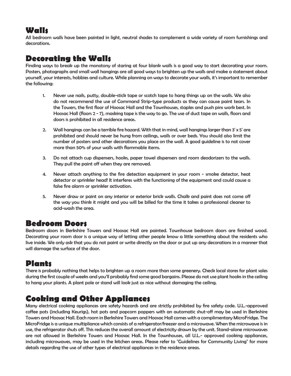#### **Walls**

All bedroom walls have been painted in light, neutral shades to complement a wide variety of room furnishings and decorations.

#### **Decorating the Walls**

Finding ways to break up the monotony of staring at four blank walls is a good way to start decorating your room. Posters, photographs and small wall hangings are all good ways to brighten up the walls and make a statement about yourself, your interests, hobbies and culture. While planning on ways to decorate your walls, it's important to remember the following:

- 1. Never use nails, putty, double-stick tape or scotch tape to hang things up on the walls. We also do not recommend the use of Command Strip-type products as they can cause paint tears. In the Towers, the first floor of Hoosac Hall and the Townhouses, staples and push pins work best. In Hoosac Hall (floors 2 - 7), masking tape is the way to go. The use of duct tape on walls, floors and doors is prohibited in all residence areas.
- 2. Wall hangings can be a terrible fire hazard. With that in mind, wall hangings larger than 3' x 5' are prohibited and should never be hung from ceilings, walls or over beds. You should also limit the number of posters and other decorations you place on the wall. A good guideline is to not cover more than 50% of your walls with flammable items.
- 3. Do not attach cup dispensers, hooks, paper towel dispensers and room deodorizers to the walls. They pull the paint off when they are removed.
- 4. Never attach anything to the fire detection equipment in your room smoke detector, heat detector or sprinkler head! It interferes with the functioning of the equipment and could cause a false fire alarm or sprinkler activation.
- 5. Never draw or paint on any interior or exterior brick walls. Chalk and paint does not come off the way you think it might and you will be billed for the time it takes a professional cleaner to acid-wash the area.

#### **Bedroom Doors**

Bedroom doors in Berkshire Towers and Hoosac Hall are painted. Townhouse bedroom doors are finished wood. Decorating your room door is a unique way of letting other people know a little something about the residents who live inside. We only ask that you do not paint or write directly on the door or put up any decorations in a manner that will damage the surface of the door.

### **Plants**

There is probably nothing that helps to brighten up a room more than some greenery. Check local stores for plant sales during the first couple of weeks and you'll probably find some good bargains. Please do not use plant hooks in the ceiling to hang your plants. A plant pole or stand will look just as nice without damaging the ceiling.

### **Cooking and Other Appliances**

Many electrical cooking appliances are safety hazards and are strictly prohibited by fire safety code. U.L.-approved coffee pots (including Keurigs), hot pots and popcorn poppers with an automatic shut-off may be used in Berkshire Towers and Hoosac Hall. Each room in Berkshire Towers and Hoosac Hall comes with a complimentary MicroFridge. The MicroFridge is a unique multipliance which consists of a refrigerator/freezer and a microwave. When the microwave is in use, the refrigerator shuts off. This reduces the overall amount of electricity drawn by the unit. Stand-alone microwaves are not allowed in Berkshire Towers and Hoosac Hall. In the Townhouses, all U.L.- approved cooking appliances, including microwaves, may be used in the kitchen areas. Please refer to "Guidelines for Community Living" for more details regarding the use of other types of electrical appliances in the residence areas.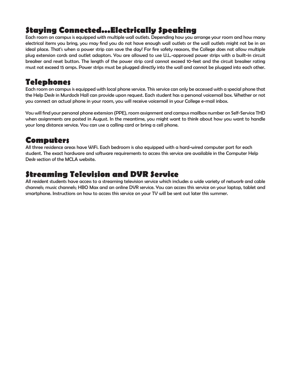### **Staying Connected...Electrically Speaking**

Each room on campus is equipped with multiple wall outlets. Depending how you arrange your room and how many electrical items you bring, you may find you do not have enough wall outlets or the wall outlets might not be in an ideal place. That's when a power strip can save the day! For fire safety reasons, the College does not allow multiple plug extension cords and outlet adaptors. You are allowed to use U.L.-approved power strips with a built-in circuit breaker and reset button. The length of the power strip cord cannot exceed 10-feet and the circuit breaker rating must not exceed 15 amps. Power strips must be plugged directly into the wall and cannot be plugged into each other.

#### **Telephones**

Each room on campus is equipped with local phone service. This service can only be accessed with a special phone that the Help Desk in Murdock Hall can provide upon request. Each student has a personal voicemail box. Whether or not you connect an actual phone in your room, you will receive voicemail in your College e-mail inbox.

You will find your personal phone extension (PPE), room assignment and campus mailbox number on Self-Service THD when assignments are posted in August. In the meantime, you might want to think about how you want to handle your long distance service. You can use a calling card or bring a cell phone.

#### **Computers**

All three residence areas have WiFi. Each bedroom is also equipped with a hard-wired computer port for each student. The exact hardware and software requirements to access this service are available in the Computer Help Desk section of the MCLA website.

#### **Streaming Television and DVR Service**

All resident students have access to a streaming television service which includes a wide variety of network and cable channels; music channels; HBO Max and an online DVR service. You can access this service on your laptop, tablet and smartphone. Instructions on how to access this service on your TV will be sent out later this summer.